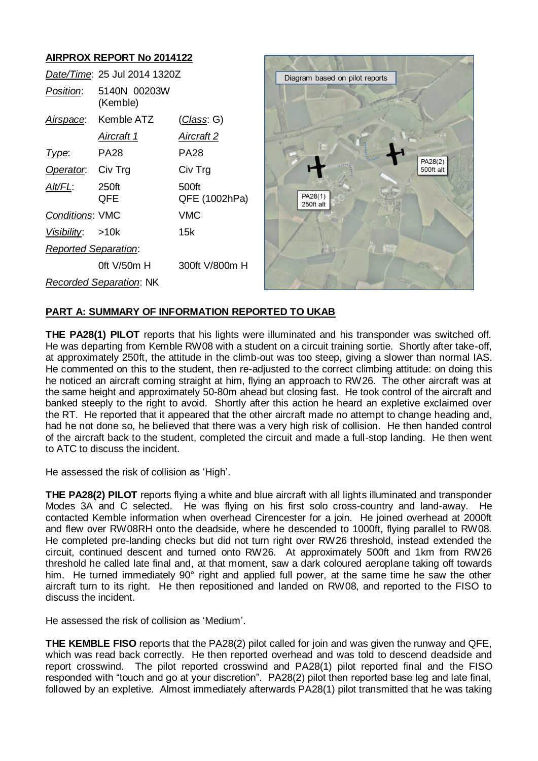# **AIRPROX REPORT No 2014122**

|                                | Date/Time: 25 Jul 2014 1320Z |                        | Diagram based on pilot reports |
|--------------------------------|------------------------------|------------------------|--------------------------------|
| Position:                      | 5140N 00203W<br>(Kemble)     |                        |                                |
| Airspace:                      | Kemble ATZ                   | <u>(Class</u> : G)     |                                |
|                                | Aircraft 1                   | <b>Aircraft 2</b>      |                                |
| Type:                          | <b>PA28</b>                  | <b>PA28</b>            | PA28(2)                        |
| Operator.                      | Civ Trg                      | Civ Trg                | 500ft alt                      |
| $Alt/FL$ :                     | 250ft<br>QFE                 | 500ft<br>QFE (1002hPa) | PA28(1)<br>250ft alt           |
| Conditions: VMC                |                              | <b>VMC</b>             |                                |
| <u>Visibility:</u>             | >10k                         | 15k                    |                                |
| <b>Reported Separation:</b>    |                              |                        |                                |
|                                | Oft V/50m H                  | 300ft V/800m H         |                                |
| <b>Recorded Separation: NK</b> |                              |                        |                                |

# **PART A: SUMMARY OF INFORMATION REPORTED TO UKAB**

**THE PA28(1) PILOT** reports that his lights were illuminated and his transponder was switched off. He was departing from Kemble RW08 with a student on a circuit training sortie. Shortly after take-off, at approximately 250ft, the attitude in the climb-out was too steep, giving a slower than normal IAS. He commented on this to the student, then re-adjusted to the correct climbing attitude: on doing this he noticed an aircraft coming straight at him, flying an approach to RW26. The other aircraft was at the same height and approximately 50-80m ahead but closing fast. He took control of the aircraft and banked steeply to the right to avoid. Shortly after this action he heard an expletive exclaimed over the RT. He reported that it appeared that the other aircraft made no attempt to change heading and, had he not done so, he believed that there was a very high risk of collision. He then handed control of the aircraft back to the student, completed the circuit and made a full-stop landing. He then went to ATC to discuss the incident.

He assessed the risk of collision as 'High'.

**THE PA28(2) PILOT** reports flying a white and blue aircraft with all lights illuminated and transponder Modes 3A and C selected. He was flying on his first solo cross-country and land-away. He contacted Kemble information when overhead Cirencester for a join. He joined overhead at 2000ft and flew over RW08RH onto the deadside, where he descended to 1000ft, flying parallel to RW08. He completed pre-landing checks but did not turn right over RW26 threshold, instead extended the circuit, continued descent and turned onto RW26. At approximately 500ft and 1km from RW26 threshold he called late final and, at that moment, saw a dark coloured aeroplane taking off towards him. He turned immediately 90° right and applied full power, at the same time he saw the other aircraft turn to its right. He then repositioned and landed on RW08, and reported to the FISO to discuss the incident.

He assessed the risk of collision as 'Medium'.

**THE KEMBLE FISO** reports that the PA28(2) pilot called for join and was given the runway and QFE, which was read back correctly. He then reported overhead and was told to descend deadside and report crosswind. The pilot reported crosswind and PA28(1) pilot reported final and the FISO responded with "touch and go at your discretion". PA28(2) pilot then reported base leg and late final, followed by an expletive. Almost immediately afterwards PA28(1) pilot transmitted that he was taking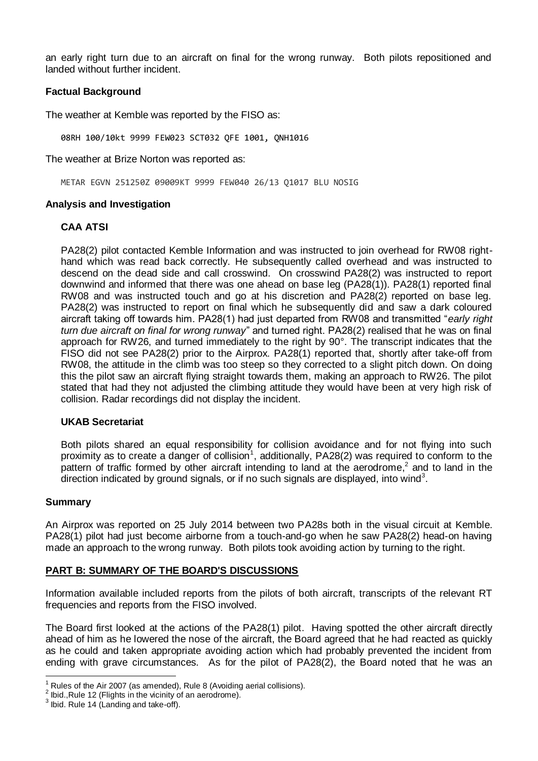an early right turn due to an aircraft on final for the wrong runway. Both pilots repositioned and landed without further incident.

## **Factual Background**

The weather at Kemble was reported by the FISO as:

08RH 100/10kt 9999 FEW023 SCT032 QFE 1001, QNH1016

The weather at Brize Norton was reported as:

METAR EGVN 251250Z 09009KT 9999 FEW040 26/13 Q1017 BLU NOSIG

### **Analysis and Investigation**

### **CAA ATSI**

PA28(2) pilot contacted Kemble Information and was instructed to join overhead for RW08 righthand which was read back correctly. He subsequently called overhead and was instructed to descend on the dead side and call crosswind. On crosswind PA28(2) was instructed to report downwind and informed that there was one ahead on base leg (PA28(1)). PA28(1) reported final RW08 and was instructed touch and go at his discretion and PA28(2) reported on base leg. PA28(2) was instructed to report on final which he subsequently did and saw a dark coloured aircraft taking off towards him. PA28(1) had just departed from RW08 and transmitted "*early right turn due aircraft on final for wrong runway*" and turned right. PA28(2) realised that he was on final approach for RW26, and turned immediately to the right by 90°. The transcript indicates that the FISO did not see PA28(2) prior to the Airprox. PA28(1) reported that, shortly after take-off from RW08, the attitude in the climb was too steep so they corrected to a slight pitch down. On doing this the pilot saw an aircraft flying straight towards them, making an approach to RW26. The pilot stated that had they not adjusted the climbing attitude they would have been at very high risk of collision. Radar recordings did not display the incident.

#### **UKAB Secretariat**

Both pilots shared an equal responsibility for collision avoidance and for not flying into such proximity as to create a danger of collision<sup>1</sup>, additionally, PA28(2) was required to conform to the pattern of traffic formed by other aircraft intending to land at the aerodrome,<sup>2</sup> and to land in the direction indicated by ground signals, or if no such signals are displayed, into wind<sup>3</sup>.

#### **Summary**

 $\overline{\phantom{a}}$ 

An Airprox was reported on 25 July 2014 between two PA28s both in the visual circuit at Kemble. PA28(1) pilot had just become airborne from a touch-and-go when he saw PA28(2) head-on having made an approach to the wrong runway. Both pilots took avoiding action by turning to the right.

# **PART B: SUMMARY OF THE BOARD'S DISCUSSIONS**

Information available included reports from the pilots of both aircraft, transcripts of the relevant RT frequencies and reports from the FISO involved.

The Board first looked at the actions of the PA28(1) pilot. Having spotted the other aircraft directly ahead of him as he lowered the nose of the aircraft, the Board agreed that he had reacted as quickly as he could and taken appropriate avoiding action which had probably prevented the incident from ending with grave circumstances. As for the pilot of PA28(2), the Board noted that he was an

 $1$  Rules of the Air 2007 (as amended), Rule 8 (Avoiding aerial collisions).

 $2$  lbid.,Rule 12 (Flights in the vicinity of an aerodrome).

 $3$  lbid. Rule 14 (Landing and take-off).